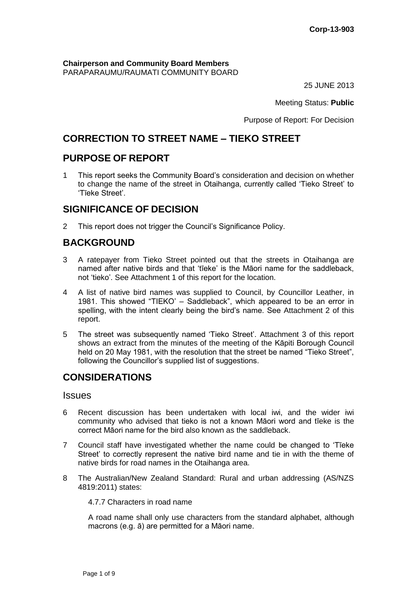**Chairperson and Community Board Members** PARAPARAUMU/RAUMATI COMMUNITY BOARD

25 JUNE 2013

Meeting Status: **Public**

Purpose of Report: For Decision

# **CORRECTION TO STREET NAME – TIEKO STREET**

# **PURPOSE OF REPORT**

1 This report seeks the Community Board's consideration and decision on whether to change the name of the street in Otaihanga, currently called 'Tieko Street' to 'Tīeke Street'.

# **SIGNIFICANCE OF DECISION**

2 This report does not trigger the Council's Significance Policy.

# **BACKGROUND**

- 3 A ratepayer from Tieko Street pointed out that the streets in Otaihanga are named after native birds and that 'tīeke' is the Māori name for the saddleback, not 'tieko'. See Attachment 1 of this report for the location.
- 4 A list of native bird names was supplied to Council, by Councillor Leather, in 1981. This showed "TIEKO' – Saddleback", which appeared to be an error in spelling, with the intent clearly being the bird's name. See Attachment 2 of this report.
- 5 The street was subsequently named 'Tieko Street'. Attachment 3 of this report shows an extract from the minutes of the meeting of the Kāpiti Borough Council held on 20 May 1981, with the resolution that the street be named "Tieko Street", following the Councillor's supplied list of suggestions.

# **CONSIDERATIONS**

## **Issues**

- 6 Recent discussion has been undertaken with local iwi, and the wider iwi community who advised that tieko is not a known Māori word and tīeke is the correct Māori name for the bird also known as the saddleback.
- 7 Council staff have investigated whether the name could be changed to 'Tīeke Street' to correctly represent the native bird name and tie in with the theme of native birds for road names in the Otaihanga area.
- 8 The Australian/New Zealand Standard: Rural and urban addressing (AS/NZS 4819:2011) states:

## 4.7.7 Characters in road name

A road name shall only use characters from the standard alphabet, although macrons (e.g. ā) are permitted for a Māori name.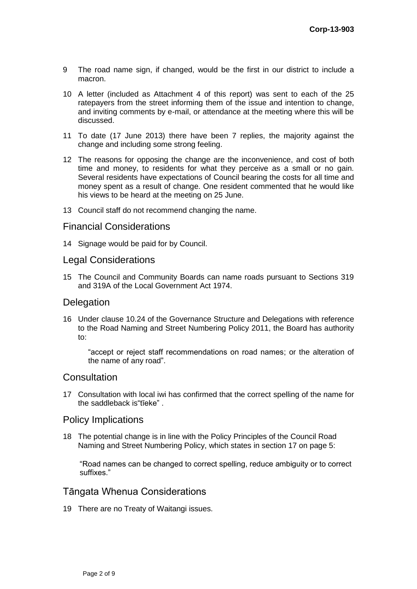- 9 The road name sign, if changed, would be the first in our district to include a macron.
- 10 A letter (included as Attachment 4 of this report) was sent to each of the 25 ratepayers from the street informing them of the issue and intention to change, and inviting comments by e-mail, or attendance at the meeting where this will be discussed.
- 11 To date (17 June 2013) there have been 7 replies, the majority against the change and including some strong feeling.
- 12 The reasons for opposing the change are the inconvenience, and cost of both time and money, to residents for what they perceive as a small or no gain. Several residents have expectations of Council bearing the costs for all time and money spent as a result of change. One resident commented that he would like his views to be heard at the meeting on 25 June.
- 13 Council staff do not recommend changing the name.

## Financial Considerations

14 Signage would be paid for by Council.

## Legal Considerations

15 The Council and Community Boards can name roads pursuant to Sections 319 and 319A of the Local Government Act 1974.

## **Delegation**

16 Under clause 10.24 of the Governance Structure and Delegations with reference to the Road Naming and Street Numbering Policy 2011, the Board has authority to:

"accept or reject staff recommendations on road names; or the alteration of the name of any road".

## **Consultation**

17 Consultation with local iwi has confirmed that the correct spelling of the name for the saddleback is"tīeke" .

## Policy Implications

18 The potential change is in line with the Policy Principles of the Council Road Naming and Street Numbering Policy, which states in section 17 on page 5:

"Road names can be changed to correct spelling, reduce ambiguity or to correct suffixes."

# Tāngata Whenua Considerations

19 There are no Treaty of Waitangi issues.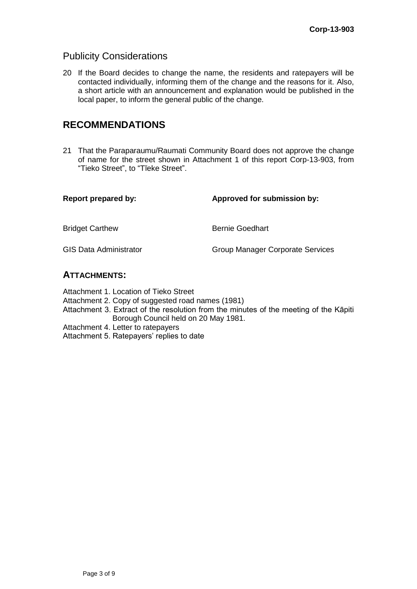# Publicity Considerations

20 If the Board decides to change the name, the residents and ratepayers will be contacted individually, informing them of the change and the reasons for it. Also, a short article with an announcement and explanation would be published in the local paper, to inform the general public of the change.

# **RECOMMENDATIONS**

21 That the Paraparaumu/Raumati Community Board does not approve the change of name for the street shown in Attachment 1 of this report Corp-13-903, from "Tieko Street", to "Tīeke Street".

| <b>Report prepared by:</b>    | Approved for submission by:      |
|-------------------------------|----------------------------------|
| <b>Bridget Carthew</b>        | <b>Bernie Goedhart</b>           |
| <b>GIS Data Administrator</b> | Group Manager Corporate Services |
|                               |                                  |

## **ATTACHMENTS:**

Attachment 1. Location of Tieko Street

Attachment 2. Copy of suggested road names (1981)

- Attachment 3. Extract of the resolution from the minutes of the meeting of the Kāpiti Borough Council held on 20 May 1981.
- Attachment 4. Letter to ratepayers

Attachment 5. Ratepayers' replies to date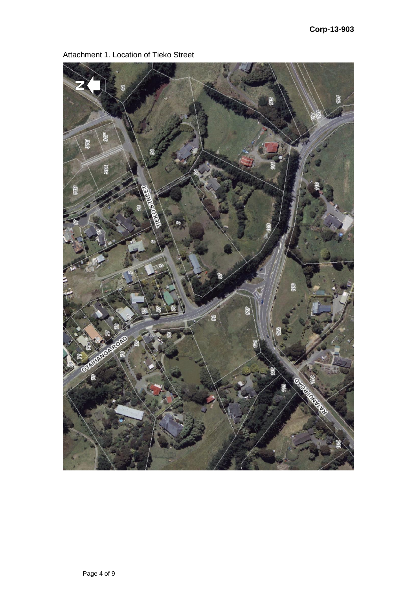

Attachment 1. Location of Tieko Street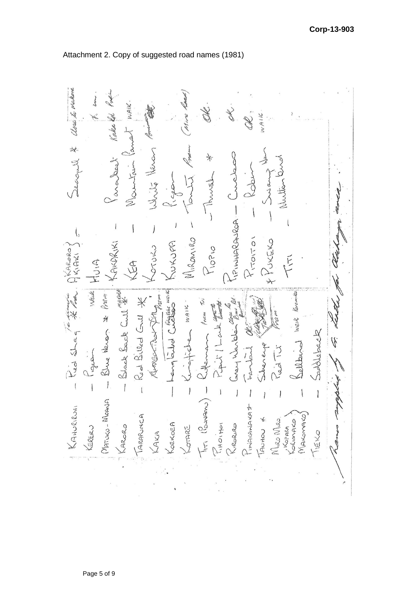abor to makera Kake let Pre WAIK S WAIK James 冰 white plane Nutter and Karalee) Mountain Jobs Thursd  $\infty$ To WHARANCA- $\overline{\mathcal{L}}$  $\big)$  $\bigg)$  $\overline{\phantom{a}}$  $\langle$ MIRANIRO Proitor FPUNCKO KUKJPA KAKARIKI Piopio To remote phalaro) CYCLOU  $\tilde{F}$ Weit HUIA KEA Black Sack Cull # Bellevia waik Koromika Hended Culture Blue News \* Prem Ansection Set pain Rod Billed Gull \* PARING TVI WAIK Paris / Lake a deretar Pied Shaq Saddeback Ù. Jemen alvereye  $\frac{1}{2}$ Fambaul Clappe  $\bigg)$  $\begin{array}{c} \end{array}$  $\overline{1}$  $\overline{\mathcal{L}}$  $\big)$  $\mathbf{I}$  $\bigg)$ I  $\vert$ Ì MATUKU-MOANA TITI (POLIAMO) KAHURIRUHI Puniamand+ TARAPUNCA Yospasa MAKOMAKO Riegers  $\frac{1}{2}$ TAUHOU \* Miro Miro. KOEKOEA KOTARE KERERU KARORO KAKA TIEKO

Attachment 2. Copy of suggested road names (1981)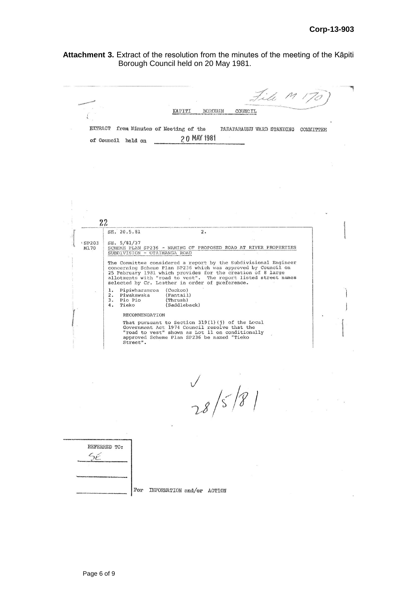**Attachment 3.** Extract of the resolution from the minutes of the meeting of the Kāpiti Borough Council held on 20 May 1981.

|              |                                         | KAPITI<br><b>BOROUGH</b>                                                                        | File M<br>COUNCIL                                                                                                                                                                              |           |
|--------------|-----------------------------------------|-------------------------------------------------------------------------------------------------|------------------------------------------------------------------------------------------------------------------------------------------------------------------------------------------------|-----------|
|              |                                         |                                                                                                 |                                                                                                                                                                                                |           |
| EXTRACT      |                                         | from Minutes of Meeting of the                                                                  | PARAPARAUMU WARD STANDING                                                                                                                                                                      | COMMITTEE |
|              | of Council held on                      | 20 MAY 1981                                                                                     |                                                                                                                                                                                                |           |
|              |                                         |                                                                                                 |                                                                                                                                                                                                |           |
|              |                                         |                                                                                                 |                                                                                                                                                                                                |           |
|              |                                         |                                                                                                 |                                                                                                                                                                                                |           |
|              |                                         |                                                                                                 |                                                                                                                                                                                                |           |
|              |                                         |                                                                                                 |                                                                                                                                                                                                |           |
|              |                                         |                                                                                                 |                                                                                                                                                                                                |           |
|              |                                         |                                                                                                 |                                                                                                                                                                                                |           |
|              | 22                                      |                                                                                                 |                                                                                                                                                                                                |           |
|              | SE. 20.5.81                             | 2.                                                                                              |                                                                                                                                                                                                |           |
| <b>SP203</b> | SE. 5/81/37                             |                                                                                                 |                                                                                                                                                                                                |           |
| M1.70        | SUBDIVISION - OTAIHANGA ROAD            |                                                                                                 | SCHEME PLAN SP236 - NAMING OF PROPOSED ROAD AT RIVER PROPERTIES                                                                                                                                |           |
|              |                                         |                                                                                                 | The Committee considered a report by the Subdivisional Engineer                                                                                                                                |           |
|              |                                         |                                                                                                 | concerning Scheme Plan SP236 which was approved by Council on<br>25 February 1981 which provides for the creation of 8 large<br>allotments with "road to vest". The report listed street names |           |
|              |                                         | selected by Cr. Leather in order of preference.                                                 |                                                                                                                                                                                                |           |
|              | Pipiwharauroa<br>ı.<br>2.<br>Piwakawaka | (Cuckoo)<br>(Fantail)                                                                           |                                                                                                                                                                                                |           |
|              | 3.<br>Pio Pio<br>4.<br>Tieko            | (Thrush)<br>(Saddleback)                                                                        |                                                                                                                                                                                                |           |
|              | RECOMMENDATION                          |                                                                                                 |                                                                                                                                                                                                |           |
|              |                                         | That pursuant to Section 319(1)(j) of the Local<br>Government Act 1974 Council resolve that the |                                                                                                                                                                                                |           |
|              |                                         | "road to vest" shown as Lot 11 on conditionally<br>approved Scheme Plan SP236 be named "Tieko   |                                                                                                                                                                                                |           |
|              | Street".                                |                                                                                                 |                                                                                                                                                                                                |           |
|              |                                         |                                                                                                 |                                                                                                                                                                                                |           |
|              |                                         |                                                                                                 |                                                                                                                                                                                                |           |
|              |                                         |                                                                                                 |                                                                                                                                                                                                |           |
|              |                                         |                                                                                                 |                                                                                                                                                                                                |           |
|              |                                         |                                                                                                 | 28/5/8                                                                                                                                                                                         |           |
|              |                                         |                                                                                                 |                                                                                                                                                                                                |           |
|              |                                         |                                                                                                 |                                                                                                                                                                                                |           |
|              |                                         |                                                                                                 |                                                                                                                                                                                                |           |
|              |                                         |                                                                                                 |                                                                                                                                                                                                |           |
|              | REFERRED TO:                            |                                                                                                 |                                                                                                                                                                                                |           |
| SÉ           |                                         |                                                                                                 |                                                                                                                                                                                                |           |
|              |                                         |                                                                                                 |                                                                                                                                                                                                |           |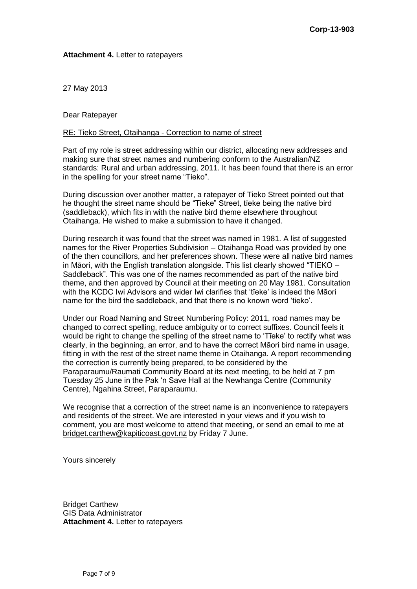### **Attachment 4.** Letter to ratepayers

27 May 2013

Dear Ratepayer

### RE: Tieko Street, Otaihanga - Correction to name of street

Part of my role is street addressing within our district, allocating new addresses and making sure that street names and numbering conform to the Australian/NZ standards: Rural and urban addressing, 2011. It has been found that there is an error in the spelling for your street name "Tieko".

During discussion over another matter, a ratepayer of Tieko Street pointed out that he thought the street name should be "Tieke" Street, tīeke being the native bird (saddleback), which fits in with the native bird theme elsewhere throughout Otaihanga. He wished to make a submission to have it changed.

During research it was found that the street was named in 1981. A list of suggested names for the River Properties Subdivision – Otaihanga Road was provided by one of the then councillors, and her preferences shown. These were all native bird names in Māori, with the English translation alongside. This list clearly showed "TIEKO – Saddleback". This was one of the names recommended as part of the native bird theme, and then approved by Council at their meeting on 20 May 1981. Consultation with the KCDC Iwi Advisors and wider Iwi clarifies that 'tīeke' is indeed the Māori name for the bird the saddleback, and that there is no known word 'tieko'.

Under our Road Naming and Street Numbering Policy: 2011, road names may be changed to correct spelling, reduce ambiguity or to correct suffixes. Council feels it would be right to change the spelling of the street name to 'Tīeke' to rectify what was clearly, in the beginning, an error, and to have the correct Māori bird name in usage, fitting in with the rest of the street name theme in Otaihanga. A report recommending the correction is currently being prepared, to be considered by the Paraparaumu/Raumati Community Board at its next meeting, to be held at 7 pm Tuesday 25 June in the Pak 'n Save Hall at the Newhanga Centre (Community Centre), Ngahina Street, Paraparaumu.

We recognise that a correction of the street name is an inconvenience to ratepayers and residents of the street. We are interested in your views and if you wish to comment, you are most welcome to attend that meeting, or send an email to me at [bridget.carthew@kapiticoast.govt.nz](mailto:bridget.carthew@kapiticoast.govt.nz) by Friday 7 June.

Yours sincerely

Bridget Carthew GIS Data Administrator **Attachment 4.** Letter to ratepayers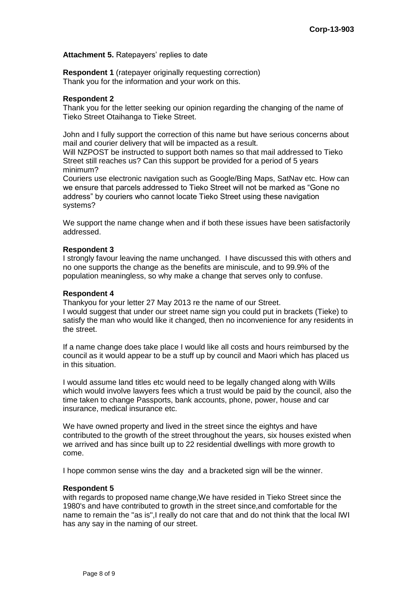### **Attachment 5.** Ratepayers' replies to date

**Respondent 1** (ratepayer originally requesting correction) Thank you for the information and your work on this.

### **Respondent 2**

Thank you for the letter seeking our opinion regarding the changing of the name of Tieko Street Otaihanga to Tieke Street.

John and I fully support the correction of this name but have serious concerns about mail and courier delivery that will be impacted as a result.

Will NZPOST be instructed to support both names so that mail addressed to Tieko Street still reaches us? Can this support be provided for a period of 5 years minimum?

Couriers use electronic navigation such as Google/Bing Maps, SatNav etc. How can we ensure that parcels addressed to Tieko Street will not be marked as "Gone no address" by couriers who cannot locate Tieko Street using these navigation systems?

We support the name change when and if both these issues have been satisfactorily addressed.

#### **Respondent 3**

I strongly favour leaving the name unchanged. I have discussed this with others and no one supports the change as the benefits are miniscule, and to 99.9% of the population meaningless, so why make a change that serves only to confuse.

### **Respondent 4**

Thankyou for your letter 27 May 2013 re the name of our Street.

I would suggest that under our street name sign you could put in brackets (Tieke) to satisfy the man who would like it changed, then no inconvenience for any residents in the street.

If a name change does take place I would like all costs and hours reimbursed by the council as it would appear to be a stuff up by council and Maori which has placed us in this situation.

I would assume land titles etc would need to be legally changed along with Wills which would involve lawyers fees which a trust would be paid by the council, also the time taken to change Passports, bank accounts, phone, power, house and car insurance, medical insurance etc.

We have owned property and lived in the street since the eightys and have contributed to the growth of the street throughout the years, six houses existed when we arrived and has since built up to 22 residential dwellings with more growth to come.

I hope common sense wins the day and a bracketed sign will be the winner.

#### **Respondent 5**

with regards to proposed name change,We have resided in Tieko Street since the 1980's and have contributed to growth in the street since,and comfortable for the name to remain the "as is",I really do not care that and do not think that the local IWI has any say in the naming of our street.